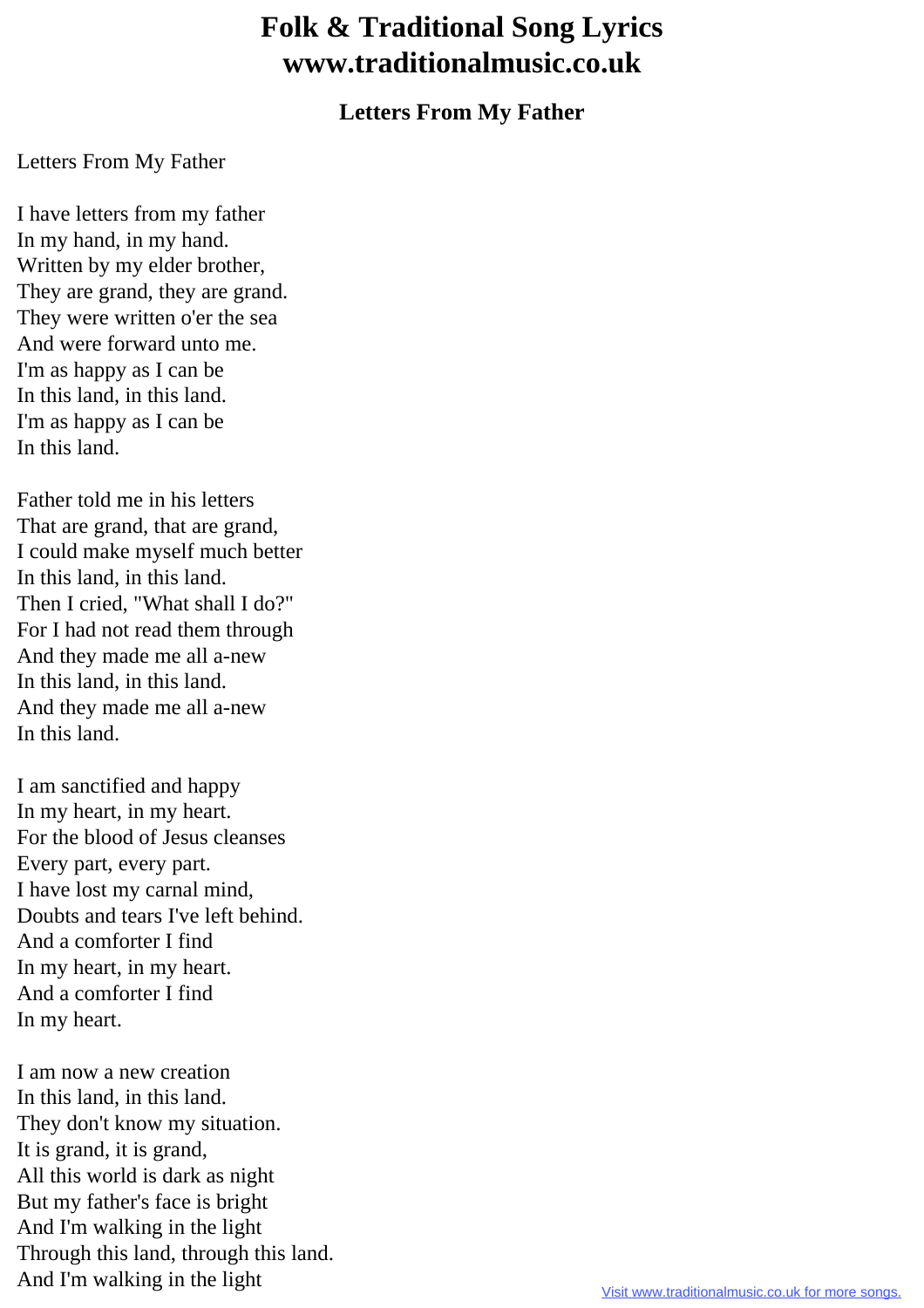## **Folk & Traditional Song Lyrics www.traditionalmusic.co.uk**

## **Letters From My Father**

## Letters From My Father

I have letters from my father In my hand, in my hand. Written by my elder brother, They are grand, they are grand. They were written o'er the sea And were forward unto me. I'm as happy as I can be In this land, in this land. I'm as happy as I can be In this land.

Father told me in his letters That are grand, that are grand, I could make myself much better In this land, in this land. Then I cried, "What shall I do?" For I had not read them through And they made me all a-new In this land, in this land. And they made me all a-new In this land.

I am sanctified and happy In my heart, in my heart. For the blood of Jesus cleanses Every part, every part. I have lost my carnal mind, Doubts and tears I've left behind. And a comforter I find In my heart, in my heart. And a comforter I find In my heart.

I am now a new creation In this land, in this land. They don't know my situation. It is grand, it is grand, All this world is dark as night But my father's face is bright And I'm walking in the light Through this land, through this land. And I'm walking in the light